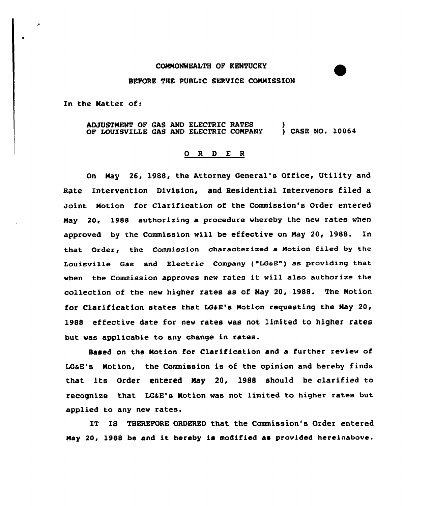## CONNONWEALTH OF KENTUCKY BEFORE THE PUBLIC SERVICE CONNISSION

In the Natter of:

×

ADJUSTNENT OF GAS AND ELECTRIC RATES OF LOUISVILLE GAS AND ELECTRIC CONPANY )<br>) CASE NO. 10064

## 0 <sup>R</sup> <sup>D</sup> E <sup>R</sup>

On Nay 26, 1988, the Attorney General's Office, Utility and Rate Intervention Division, and Residential Intervenors filed a Joint Notion for Clarification of the Commission's Order entered Nay 20, 1988 authorizing a procedure vhereby the new rates when approved by the Commission vill be effective on Nay 20, 19SS. In that Order, the Commission characterized a Notion filed by the Louisville Gas and Electric Company ("LGaE") as providing that when the Commission approves new rates it will also authorize the collection of the nev higher rates as of Nay 20, 1988. The Notion for Clarification states that LG&E's Motion requesting the May 20, 1988 effective date for nev rates vas not limited to higher rates but vas applicable to any change in rates.

Based on the Notion for Clarification and a further review of LG&E's Motion, the Commission is of the opinion and hereby finds that its Order entered Nay 20, 1988 should be clarified to recognize that LG6E's Notion vas not limited to higher rates but applied to any new rates.

IT IS THEREFORE ORDERED that the Commission's Order entered Nay 20, 1988 be and it hereby is modified as provided hereinabove.